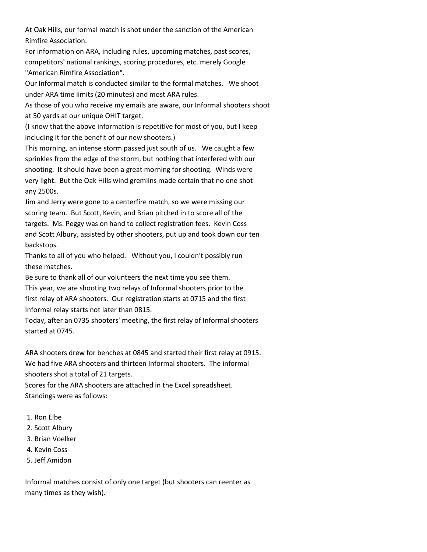At Oak Hills, our formal match is shot under the sanction of the American Rimfire Association.

For information on ARA, including rules, upcoming matches, past scores, competitors' national rankings, scoring procedures, etc. merely Google "American Rimfire Association".

Our Informal match is conducted similar to the formal matches. We shoot under ARA time limits (20 minutes) and most ARA rules.

As those of you who receive my emails are aware, our Informal shooters shoot at 50 yards at our unique OHIT target.

(I know that the above information is repetitive for most of you, but I keep including it for the benefit of our new shooters.)

This morning, an intense storm passed just south of us. We caught a few sprinkles from the edge of the storm, but nothing that interfered with our shooting. It should have been a great morning for shooting. Winds were very light. But the Oak Hills wind gremlins made certain that no one shot any 2500s.

Jim and Jerry were gone to a centerfire match, so we were missing our scoring team. But Scott, Kevin, and Brian pitched in to score all of the targets. Ms. Peggy was on hand to collect registration fees. Kevin Coss and Scott Albury, assisted by other shooters, put up and took down our ten backstops.

Thanks to all of you who helped. Without you, I couldn't possibly run these matches.

Be sure to thank all of our volunteers the next time you see them.

This year, we are shooting two relays of Informal shooters prior to the first relay of ARA shooters. Our registration starts at 0715 and the first Informal relay starts not later than 0815.

Today, after an 0735 shooters' meeting, the first relay of Informal shooters started at 0745.

ARA shooters drew for benches at 0845 and started their first relay at 0915. We had five ARA shooters and thirteen Informal shooters. The informal shooters shot a total of 21 targets.

Scores for the ARA shooters are attached in the Excel spreadsheet. Standings were as follows:

- 1. Ron Elbe
- 2. Scott Albury
- 3. Brian Voelker
- 4. Kevin Coss
- 5. Jeff Amidon

Informal matches consist of only one target (but shooters can reenter as many times as they wish).